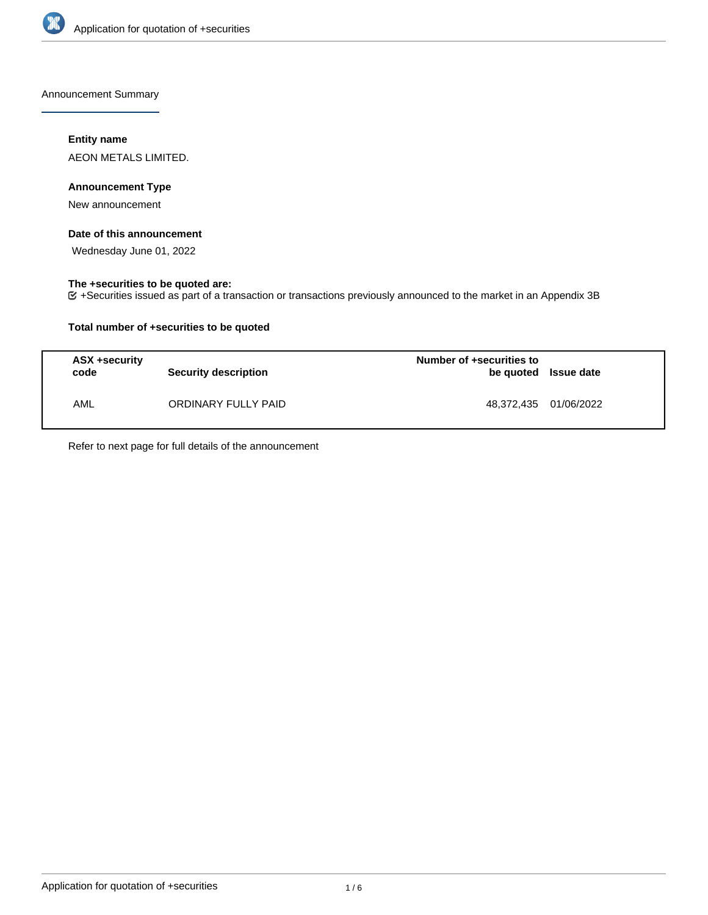

Announcement Summary

## **Entity name**

AEON METALS LIMITED.

## **Announcement Type**

New announcement

## **Date of this announcement**

Wednesday June 01, 2022

## **The +securities to be quoted are:**

+Securities issued as part of a transaction or transactions previously announced to the market in an Appendix 3B

## **Total number of +securities to be quoted**

| ASX +security<br>code | <b>Security description</b> | Number of +securities to<br>be quoted Issue date |  |
|-----------------------|-----------------------------|--------------------------------------------------|--|
| AML                   | ORDINARY FULLY PAID         | 48.372.435 01/06/2022                            |  |

Refer to next page for full details of the announcement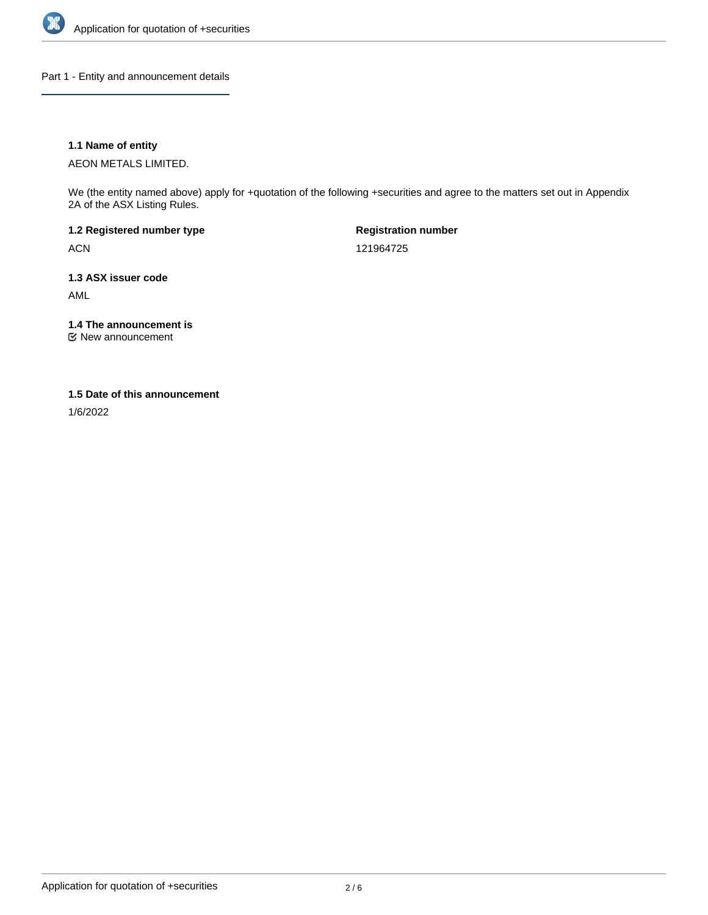

Part 1 - Entity and announcement details

## **1.1 Name of entity**

AEON METALS LIMITED.

We (the entity named above) apply for +quotation of the following +securities and agree to the matters set out in Appendix 2A of the ASX Listing Rules.

**1.2 Registered number type** ACN

**Registration number** 121964725

**1.3 ASX issuer code** AML

**1.4 The announcement is**

New announcement

### **1.5 Date of this announcement**

1/6/2022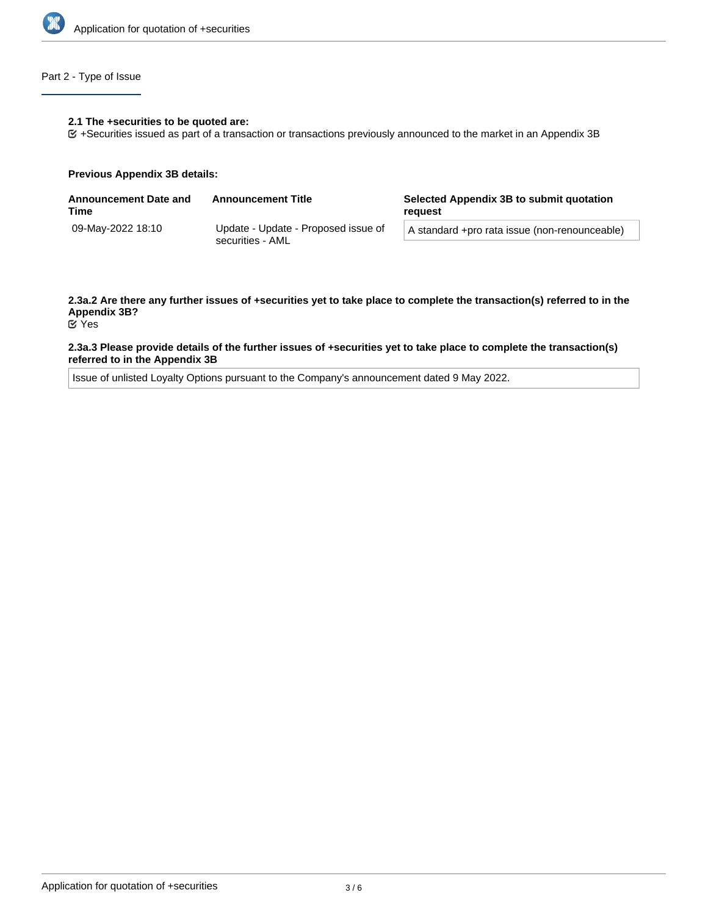

## Part 2 - Type of Issue

#### **2.1 The +securities to be quoted are:**

+Securities issued as part of a transaction or transactions previously announced to the market in an Appendix 3B

#### **Previous Appendix 3B details:**

| <b>Announcement Date and</b><br>Time                                         | <b>Announcement Title</b> | Selected Appendix 3B to submit quotation<br>reguest |
|------------------------------------------------------------------------------|---------------------------|-----------------------------------------------------|
| 09-May-2022 18:10<br>Update - Update - Proposed issue of<br>securities - AML |                           | A standard +pro rata issue (non-renounceable)       |
|                                                                              |                           |                                                     |

# **2.3a.2 Are there any further issues of +securities yet to take place to complete the transaction(s) referred to in the Appendix 3B?**

Yes

### **2.3a.3 Please provide details of the further issues of +securities yet to take place to complete the transaction(s) referred to in the Appendix 3B**

Issue of unlisted Loyalty Options pursuant to the Company's announcement dated 9 May 2022.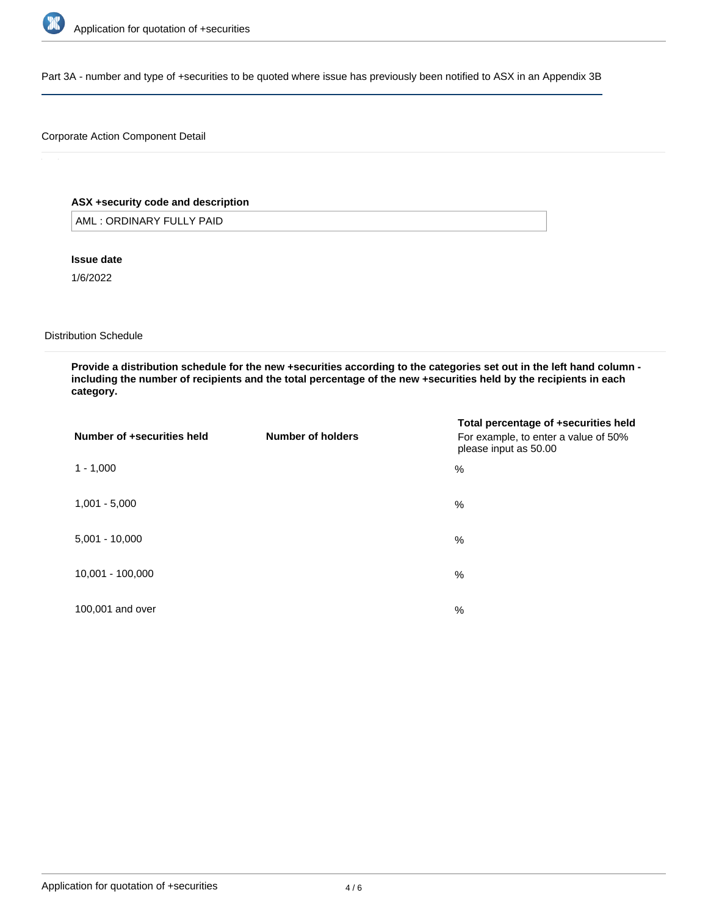

Part 3A - number and type of +securities to be quoted where issue has previously been notified to ASX in an Appendix 3B

## Corporate Action Component Detail

## **ASX +security code and description**

AML : ORDINARY FULLY PAID

### **Issue date**

1/6/2022

### Distribution Schedule

**Provide a distribution schedule for the new +securities according to the categories set out in the left hand column including the number of recipients and the total percentage of the new +securities held by the recipients in each category.**

| Number of +securities held | Number of holders | Total percentage of +securities held<br>For example, to enter a value of 50%<br>please input as 50.00 |
|----------------------------|-------------------|-------------------------------------------------------------------------------------------------------|
| $1 - 1,000$                |                   | %                                                                                                     |
| $1,001 - 5,000$            |                   | %                                                                                                     |
| $5,001 - 10,000$           |                   | %                                                                                                     |
| 10,001 - 100,000           |                   | %                                                                                                     |
| 100,001 and over           |                   | %                                                                                                     |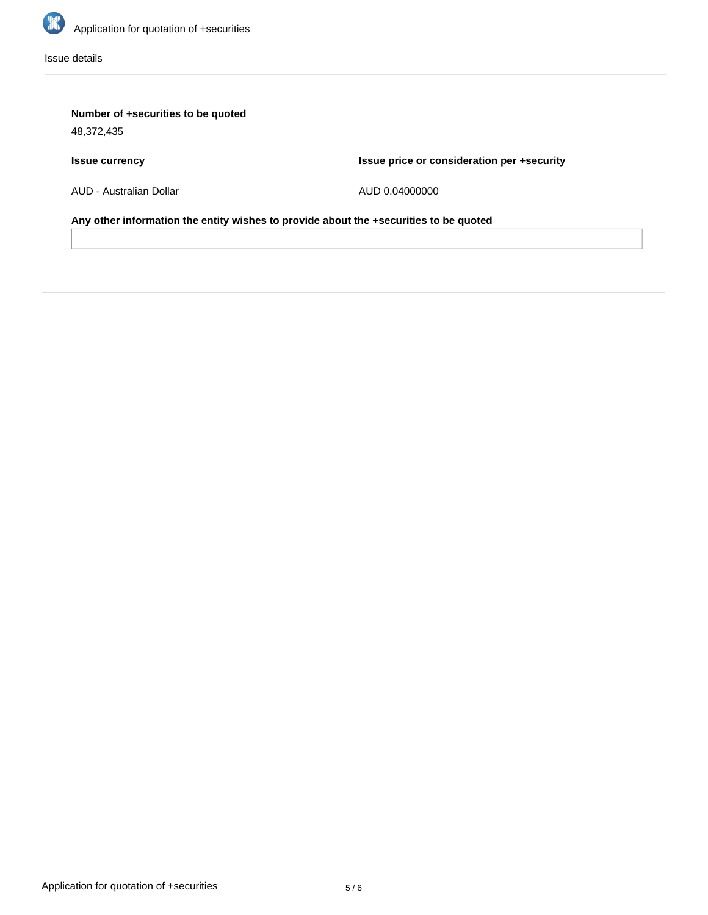

Issue details

# **Number of +securities to be quoted**

48,372,435

# **Issue currency**

**Issue price or consideration per +security**

AUD - Australian Dollar

AUD 0.04000000

**Any other information the entity wishes to provide about the +securities to be quoted**